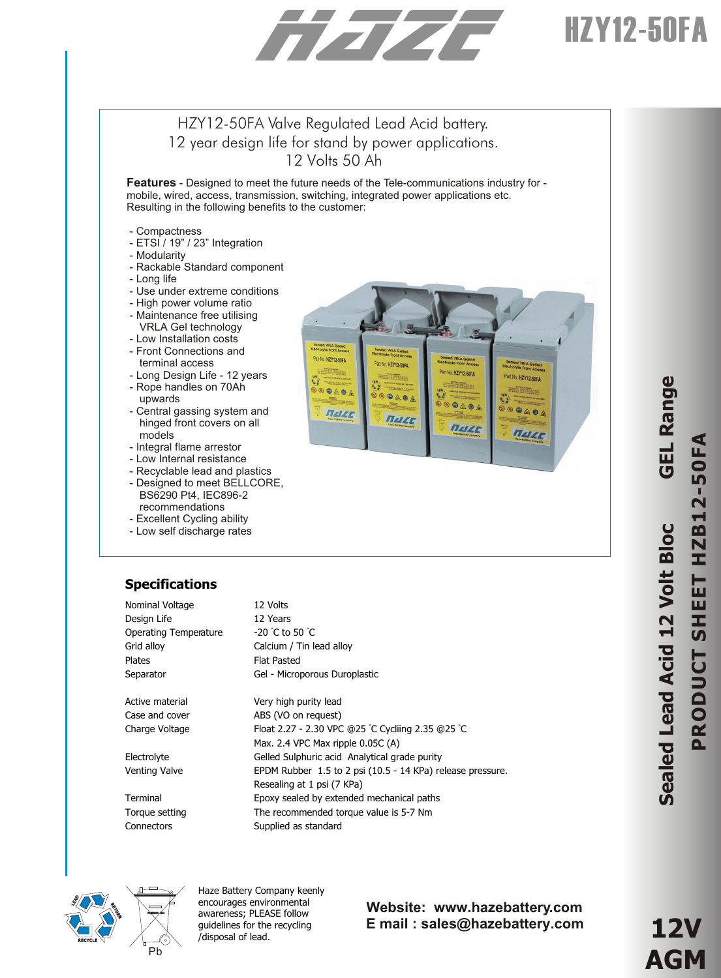# HZY12-50FA

# HZY12-50FA Valve Regulated Lead Acid battery. 12 year design life for stand by power applications. 12 Volts 50 Ah

**Features** - Designed to meet the future needs of the Tele-communications industry for mobile, wired, access, transmission, switching, integrated power applications etc. Resulting in the following benefits to the customer:

- Compactness
- ETSI / 19" / 23" Integration
- Modularity
- Rackable Standard component
- Long life
- Use under extreme conditions
- High power volume ratio
- Maintenance free utilising
- VRLA Gel technology
- Low Installation costs
- Front Connections and terminal access
- Long Design Life 12 years - Rope handles on 70Ah
- upwards - Central gassing system and hinged front covers on all models
- Integral flame arrestor
- Low Internal resistance
- Recyclable lead and plastics
- Designed to meet BELLCORE,
- BS6290 Pt4, IEC896-2 recommendations
- Excellent Cycling ability
- Low self discharge rates



# **Specifications**

| Nominal Voltage              | 12 Volts                                                   |
|------------------------------|------------------------------------------------------------|
| Design Life                  | 12 Years                                                   |
| <b>Operating Temperature</b> | $-20$ °C to 50 °C                                          |
| Grid alloy                   | Calcium / Tin lead alloy                                   |
| <b>Plates</b>                | <b>Flat Pasted</b>                                         |
| Separator                    | Gel - Microporous Duroplastic                              |
|                              |                                                            |
| Active material              | Very high purity lead                                      |
| Case and cover               | ABS (VO on request)                                        |
| Charge Voltage               | Float 2.27 - 2.30 VPC @25 °C Cycliing 2.35 @25 °C          |
|                              | Max. 2.4 VPC Max ripple 0.05C (A)                          |
| Electrolyte                  | Gelled Sulphuric acid Analytical grade purity              |
| Venting Valve                | EPDM Rubber 1.5 to 2 psi (10.5 - 14 KPa) release pressure. |
|                              | Resealing at 1 psi (7 KPa)                                 |
| Terminal                     | Epoxy sealed by extended mechanical paths                  |
| Torque setting               | The recommended torque value is 5-7 Nm                     |
| Connectors                   | Supplied as standard                                       |



Haze Battery Company keenly encourages environmental awareness; PLEASE follow guidelines for the recycling /disposal of lead.

## **Website: www.hazebattery.com E mail : sales@hazebattery.com**

**e**

**12V AGM**